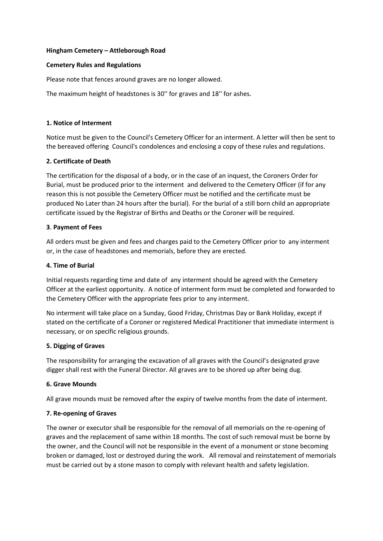### **Hingham Cemetery – Attleborough Road**

## **Cemetery Rules and Regulations**

Please note that fences around graves are no longer allowed.

The maximum height of headstones is 30'' for graves and 18'' for ashes.

## **1. Notice of Interment**

Notice must be given to the Council's Cemetery Officer for an interment. A letter will then be sent to the bereaved offering Council's condolences and enclosing a copy of these rules and regulations.

## **2. Certificate of Death**

The certification for the disposal of a body, or in the case of an inquest, the Coroners Order for Burial, must be produced prior to the interment and delivered to the Cemetery Officer (if for any reason this is not possible the Cemetery Officer must be notified and the certificate must be produced No Later than 24 hours after the burial). For the burial of a still born child an appropriate certificate issued by the Registrar of Births and Deaths or the Coroner will be required.

## **3**. **Payment of Fees**

All orders must be given and fees and charges paid to the Cemetery Officer prior to any interment or, in the case of headstones and memorials, before they are erected.

## **4. Time of Burial**

Initial requests regarding time and date of any interment should be agreed with the Cemetery Officer at the earliest opportunity. A notice of interment form must be completed and forwarded to the Cemetery Officer with the appropriate fees prior to any interment.

No interment will take place on a Sunday, Good Friday, Christmas Day or Bank Holiday, except if stated on the certificate of a Coroner or registered Medical Practitioner that immediate interment is necessary, or on specific religious grounds.

#### **5. Digging of Graves**

The responsibility for arranging the excavation of all graves with the Council's designated grave digger shall rest with the Funeral Director. All graves are to be shored up after being dug.

#### **6. Grave Mounds**

All grave mounds must be removed after the expiry of twelve months from the date of interment.

#### **7. Re-opening of Graves**

The owner or executor shall be responsible for the removal of all memorials on the re-opening of graves and the replacement of same within 18 months. The cost of such removal must be borne by the owner, and the Council will not be responsible in the event of a monument or stone becoming broken or damaged, lost or destroyed during the work. All removal and reinstatement of memorials must be carried out by a stone mason to comply with relevant health and safety legislation.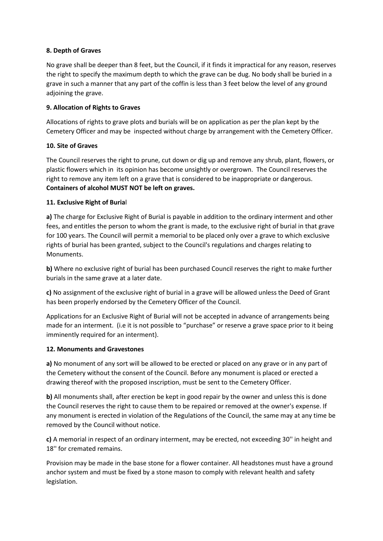# **8. Depth of Graves**

No grave shall be deeper than 8 feet, but the Council, if it finds it impractical for any reason, reserves the right to specify the maximum depth to which the grave can be dug. No body shall be buried in a grave in such a manner that any part of the coffin is less than 3 feet below the level of any ground adjoining the grave.

# **9. Allocation of Rights to Graves**

Allocations of rights to grave plots and burials will be on application as per the plan kept by the Cemetery Officer and may be inspected without charge by arrangement with the Cemetery Officer.

## **10. Site of Graves**

The Council reserves the right to prune, cut down or dig up and remove any shrub, plant, flowers, or plastic flowers which in its opinion has become unsightly or overgrown. The Council reserves the right to remove any item left on a grave that is considered to be inappropriate or dangerous. **Containers of alcohol MUST NOT be left on graves.**

## **11. Exclusive Right of Buria**l

**a)** The charge for Exclusive Right of Burial is payable in addition to the ordinary interment and other fees, and entitles the person to whom the grant is made, to the exclusive right of burial in that grave for 100 years. The Council will permit a memorial to be placed only over a grave to which exclusive rights of burial has been granted, subject to the Council's regulations and charges relating to Monuments.

**b)** Where no exclusive right of burial has been purchased Council reserves the right to make further burials in the same grave at a later date.

**c)** No assignment of the exclusive right of burial in a grave will be allowed unless the Deed of Grant has been properly endorsed by the Cemetery Officer of the Council.

Applications for an Exclusive Right of Burial will not be accepted in advance of arrangements being made for an interment. (i.e it is not possible to "purchase" or reserve a grave space prior to it being imminently required for an interment).

#### **12. Monuments and Gravestones**

**a)** No monument of any sort will be allowed to be erected or placed on any grave or in any part of the Cemetery without the consent of the Council. Before any monument is placed or erected a drawing thereof with the proposed inscription, must be sent to the Cemetery Officer.

**b)** All monuments shall, after erection be kept in good repair by the owner and unless this is done the Council reserves the right to cause them to be repaired or removed at the owner's expense. If any monument is erected in violation of the Regulations of the Council, the same may at any time be removed by the Council without notice.

**c)** A memorial in respect of an ordinary interment, may be erected, not exceeding 30'' in height and 18'' for cremated remains.

Provision may be made in the base stone for a flower container. All headstones must have a ground anchor system and must be fixed by a stone mason to comply with relevant health and safety legislation.